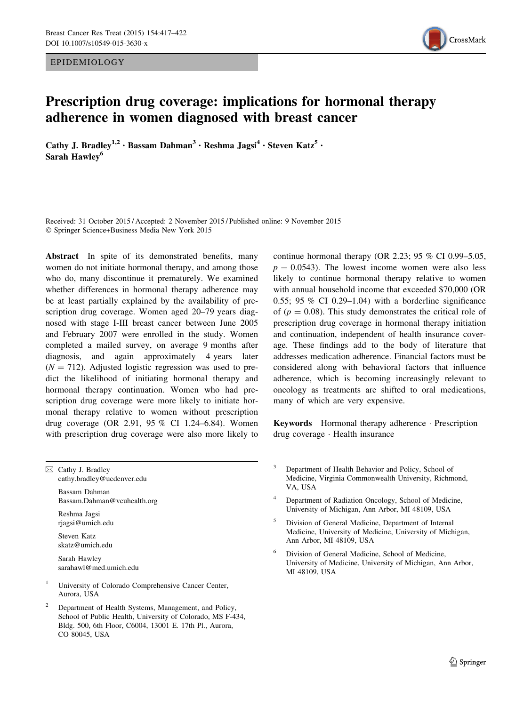EPIDEMIOLOGY



# Prescription drug coverage: implications for hormonal therapy adherence in women diagnosed with breast cancer

Cathy J. Bradley<sup>1,2</sup> · Bassam Dahman<sup>3</sup> · Reshma Jagsi<sup>4</sup> · Steven Katz<sup>5</sup> · Sarah Hawley<sup>6</sup>

Received: 31 October 2015 / Accepted: 2 November 2015 / Published online: 9 November 2015 - Springer Science+Business Media New York 2015

Abstract In spite of its demonstrated benefits, many women do not initiate hormonal therapy, and among those who do, many discontinue it prematurely. We examined whether differences in hormonal therapy adherence may be at least partially explained by the availability of prescription drug coverage. Women aged 20–79 years diagnosed with stage I-III breast cancer between June 2005 and February 2007 were enrolled in the study. Women completed a mailed survey, on average 9 months after diagnosis, and again approximately 4 years later  $(N = 712)$ . Adjusted logistic regression was used to predict the likelihood of initiating hormonal therapy and hormonal therapy continuation. Women who had prescription drug coverage were more likely to initiate hormonal therapy relative to women without prescription drug coverage (OR 2.91, 95 % CI 1.24–6.84). Women with prescription drug coverage were also more likely to

 $p = 0.0543$ . The lowest income women were also less likely to continue hormonal therapy relative to women with annual household income that exceeded \$70,000 (OR 0.55; 95  $\%$  CI 0.29–1.04) with a borderline significance of ( $p = 0.08$ ). This study demonstrates the critical role of prescription drug coverage in hormonal therapy initiation and continuation, independent of health insurance coverage. These findings add to the body of literature that addresses medication adherence. Financial factors must be considered along with behavioral factors that influence adherence, which is becoming increasingly relevant to oncology as treatments are shifted to oral medications, many of which are very expensive.

continue hormonal therapy (OR 2.23; 95  $\%$  CI 0.99–5.05,

Keywords Hormonal therapy adherence - Prescription drug coverage - Health insurance

 $\boxtimes$  Cathy J. Bradley cathy.bradley@ucdenver.edu

> Bassam Dahman Bassam.Dahman@vcuhealth.org

Reshma Jagsi rjagsi@umich.edu

Steven Katz skatz@umich.edu

Sarah Hawley sarahawl@med.umich.edu

- University of Colorado Comprehensive Cancer Center, Aurora, USA
- Department of Health Systems, Management, and Policy, School of Public Health, University of Colorado, MS F-434, Bldg. 500, 6th Floor, C6004, 13001 E. 17th Pl., Aurora, CO 80045, USA
- <sup>3</sup> Department of Health Behavior and Policy, School of Medicine, Virginia Commonwealth University, Richmond, VA, USA
- Department of Radiation Oncology, School of Medicine, University of Michigan, Ann Arbor, MI 48109, USA
- <sup>5</sup> Division of General Medicine, Department of Internal Medicine, University of Medicine, University of Michigan, Ann Arbor, MI 48109, USA
- <sup>6</sup> Division of General Medicine, School of Medicine, University of Medicine, University of Michigan, Ann Arbor, MI 48109, USA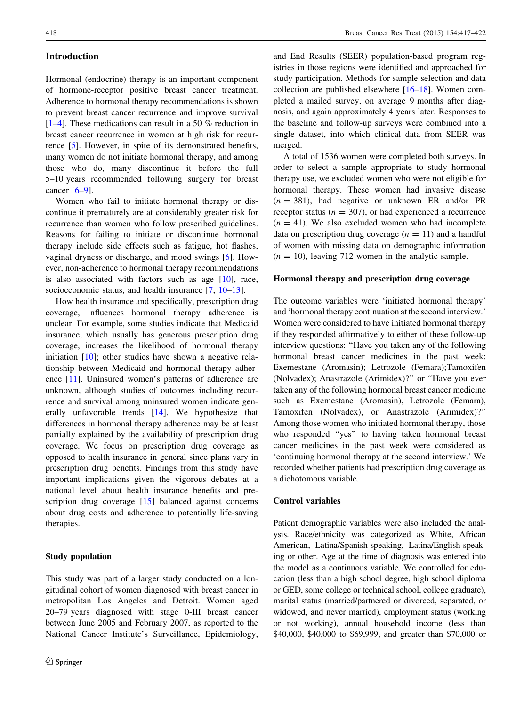# Introduction

Hormonal (endocrine) therapy is an important component of hormone-receptor positive breast cancer treatment. Adherence to hormonal therapy recommendations is shown to prevent breast cancer recurrence and improve survival [\[1–4](#page-5-0)]. These medications can result in a 50 % reduction in breast cancer recurrence in women at high risk for recurrence [[5\]](#page-5-0). However, in spite of its demonstrated benefits, many women do not initiate hormonal therapy, and among those who do, many discontinue it before the full 5–10 years recommended following surgery for breast cancer [[6–9\]](#page-5-0).

Women who fail to initiate hormonal therapy or discontinue it prematurely are at considerably greater risk for recurrence than women who follow prescribed guidelines. Reasons for failing to initiate or discontinue hormonal therapy include side effects such as fatigue, hot flashes, vaginal dryness or discharge, and mood swings [\[6](#page-5-0)]. However, non-adherence to hormonal therapy recommendations is also associated with factors such as age [\[10\]](#page-5-0), race, socioeconomic status, and health insurance [[7,](#page-5-0) [10–13](#page-5-0)].

How health insurance and specifically, prescription drug coverage, influences hormonal therapy adherence is unclear. For example, some studies indicate that Medicaid insurance, which usually has generous prescription drug coverage, increases the likelihood of hormonal therapy initiation [[10\]](#page-5-0); other studies have shown a negative relationship between Medicaid and hormonal therapy adherence [[11\]](#page-5-0). Uninsured women's patterns of adherence are unknown, although studies of outcomes including recurrence and survival among uninsured women indicate generally unfavorable trends [\[14\]](#page-5-0). We hypothesize that differences in hormonal therapy adherence may be at least partially explained by the availability of prescription drug coverage. We focus on prescription drug coverage as opposed to health insurance in general since plans vary in prescription drug benefits. Findings from this study have important implications given the vigorous debates at a national level about health insurance benefits and pre-scription drug coverage [\[15](#page-5-0)] balanced against concerns about drug costs and adherence to potentially life-saving therapies.

## Study population

This study was part of a larger study conducted on a longitudinal cohort of women diagnosed with breast cancer in metropolitan Los Angeles and Detroit. Women aged 20–79 years diagnosed with stage 0-III breast cancer between June 2005 and February 2007, as reported to the National Cancer Institute's Surveillance, Epidemiology,

and End Results (SEER) population-based program registries in those regions were identified and approached for study participation. Methods for sample selection and data collection are published elsewhere [\[16–18](#page-5-0)]. Women completed a mailed survey, on average 9 months after diagnosis, and again approximately 4 years later. Responses to the baseline and follow-up surveys were combined into a single dataset, into which clinical data from SEER was merged.

A total of 1536 women were completed both surveys. In order to select a sample appropriate to study hormonal therapy use, we excluded women who were not eligible for hormonal therapy. These women had invasive disease  $(n = 381)$ , had negative or unknown ER and/or PR receptor status ( $n = 307$ ), or had experienced a recurrence  $(n = 41)$ . We also excluded women who had incomplete data on prescription drug coverage  $(n = 11)$  and a handful of women with missing data on demographic information  $(n = 10)$ , leaving 712 women in the analytic sample.

## Hormonal therapy and prescription drug coverage

The outcome variables were 'initiated hormonal therapy' and 'hormonal therapy continuation at the second interview.' Women were considered to have initiated hormonal therapy if they responded affirmatively to either of these follow-up interview questions: "Have you taken any of the following hormonal breast cancer medicines in the past week: Exemestane (Aromasin); Letrozole (Femara);Tamoxifen (Nolvadex); Anastrazole (Arimidex)?'' or ''Have you ever taken any of the following hormonal breast cancer medicine such as Exemestane (Aromasin), Letrozole (Femara), Tamoxifen (Nolvadex), or Anastrazole (Arimidex)?'' Among those women who initiated hormonal therapy, those who responded ''yes'' to having taken hormonal breast cancer medicines in the past week were considered as 'continuing hormonal therapy at the second interview.' We recorded whether patients had prescription drug coverage as a dichotomous variable.

## Control variables

Patient demographic variables were also included the analysis. Race/ethnicity was categorized as White, African American, Latina/Spanish-speaking, Latina/English-speaking or other. Age at the time of diagnosis was entered into the model as a continuous variable. We controlled for education (less than a high school degree, high school diploma or GED, some college or technical school, college graduate), marital status (married/partnered or divorced, separated, or widowed, and never married), employment status (working or not working), annual household income (less than \$40,000, \$40,000 to \$69,999, and greater than \$70,000 or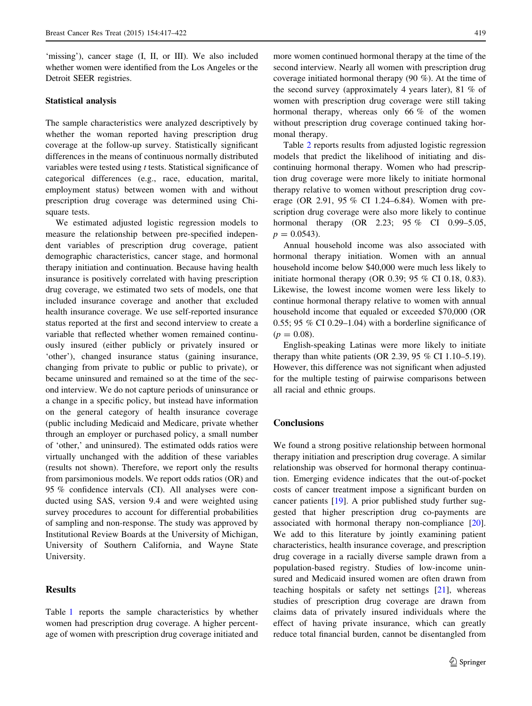'missing'), cancer stage (I, II, or III). We also included whether women were identified from the Los Angeles or the Detroit SEER registries.

# Statistical analysis

The sample characteristics were analyzed descriptively by whether the woman reported having prescription drug coverage at the follow-up survey. Statistically significant differences in the means of continuous normally distributed variables were tested using t tests. Statistical significance of categorical differences (e.g., race, education, marital, employment status) between women with and without prescription drug coverage was determined using Chisquare tests.

We estimated adjusted logistic regression models to measure the relationship between pre-specified independent variables of prescription drug coverage, patient demographic characteristics, cancer stage, and hormonal therapy initiation and continuation. Because having health insurance is positively correlated with having prescription drug coverage, we estimated two sets of models, one that included insurance coverage and another that excluded health insurance coverage. We use self-reported insurance status reported at the first and second interview to create a variable that reflected whether women remained continuously insured (either publicly or privately insured or 'other'), changed insurance status (gaining insurance, changing from private to public or public to private), or became uninsured and remained so at the time of the second interview. We do not capture periods of uninsurance or a change in a specific policy, but instead have information on the general category of health insurance coverage (public including Medicaid and Medicare, private whether through an employer or purchased policy, a small number of 'other,' and uninsured). The estimated odds ratios were virtually unchanged with the addition of these variables (results not shown). Therefore, we report only the results from parsimonious models. We report odds ratios (OR) and 95 % confidence intervals (CI). All analyses were conducted using SAS, version 9.4 and were weighted using survey procedures to account for differential probabilities of sampling and non-response. The study was approved by Institutional Review Boards at the University of Michigan, University of Southern California, and Wayne State University.

# Results

Table [1](#page-3-0) reports the sample characteristics by whether women had prescription drug coverage. A higher percentage of women with prescription drug coverage initiated and more women continued hormonal therapy at the time of the second interview. Nearly all women with prescription drug coverage initiated hormonal therapy (90 %). At the time of the second survey (approximately 4 years later), 81 % of women with prescription drug coverage were still taking hormonal therapy, whereas only 66 % of the women without prescription drug coverage continued taking hormonal therapy.

Table [2](#page-4-0) reports results from adjusted logistic regression models that predict the likelihood of initiating and discontinuing hormonal therapy. Women who had prescription drug coverage were more likely to initiate hormonal therapy relative to women without prescription drug coverage (OR 2.91, 95 % CI 1.24–6.84). Women with prescription drug coverage were also more likely to continue hormonal therapy (OR 2.23; 95 % CI 0.99–5.05,  $p = 0.0543$ .

Annual household income was also associated with hormonal therapy initiation. Women with an annual household income below \$40,000 were much less likely to initiate hormonal therapy (OR 0.39; 95 % CI 0.18, 0.83). Likewise, the lowest income women were less likely to continue hormonal therapy relative to women with annual household income that equaled or exceeded \$70,000 (OR 0.55; 95  $%$  CI 0.29–1.04) with a borderline significance of  $(p = 0.08)$ .

English-speaking Latinas were more likely to initiate therapy than white patients (OR 2.39, 95  $%$  CI 1.10–5.19). However, this difference was not significant when adjusted for the multiple testing of pairwise comparisons between all racial and ethnic groups.

## **Conclusions**

We found a strong positive relationship between hormonal therapy initiation and prescription drug coverage. A similar relationship was observed for hormonal therapy continuation. Emerging evidence indicates that the out-of-pocket costs of cancer treatment impose a significant burden on cancer patients [\[19](#page-5-0)]. A prior published study further suggested that higher prescription drug co-payments are associated with hormonal therapy non-compliance [\[20](#page-5-0)]. We add to this literature by jointly examining patient characteristics, health insurance coverage, and prescription drug coverage in a racially diverse sample drawn from a population-based registry. Studies of low-income uninsured and Medicaid insured women are often drawn from teaching hospitals or safety net settings [[21\]](#page-5-0), whereas studies of prescription drug coverage are drawn from claims data of privately insured individuals where the effect of having private insurance, which can greatly reduce total financial burden, cannot be disentangled from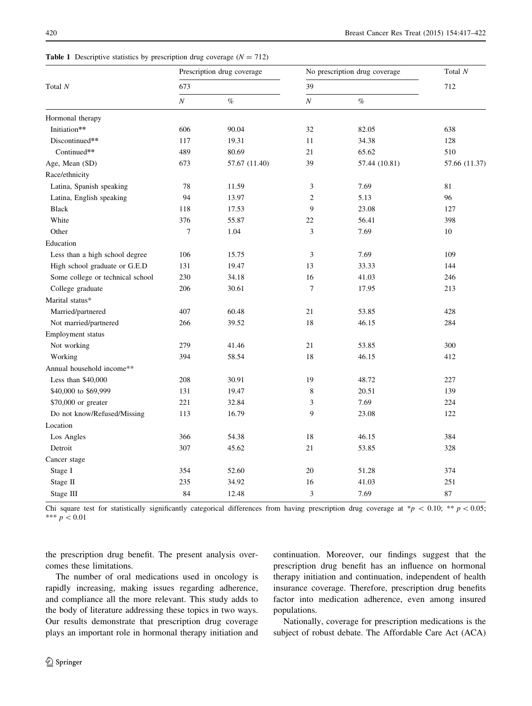<span id="page-3-0"></span>

|  | <b>Table 1</b> Descriptive statistics by prescription drug coverage $(N = 712)$ |  |  |  |  |  |  |  |  |  |
|--|---------------------------------------------------------------------------------|--|--|--|--|--|--|--|--|--|
|--|---------------------------------------------------------------------------------|--|--|--|--|--|--|--|--|--|

|                                  | Prescription drug coverage<br>673 |               | No prescription drug coverage | Total $N$<br>712 |               |
|----------------------------------|-----------------------------------|---------------|-------------------------------|------------------|---------------|
| Total N                          |                                   |               | 39                            |                  |               |
|                                  | $\cal N$                          | $\%$          | $\overline{N}$                | $\%$             |               |
| Hormonal therapy                 |                                   |               |                               |                  |               |
| Initiation**                     | 606                               | 90.04         | 32                            | 82.05            | 638           |
| Discontinued**                   | 117                               | 19.31         | 11                            | 34.38            | 128           |
| Continued**                      | 489                               | 80.69         | 21                            | 65.62            | 510           |
| Age, Mean (SD)                   | 673                               | 57.67 (11.40) | 39                            | 57.44 (10.81)    | 57.66 (11.37) |
| Race/ethnicity                   |                                   |               |                               |                  |               |
| Latina, Spanish speaking         | 78                                | 11.59         | 3                             | 7.69             | 81            |
| Latina, English speaking         | 94                                | 13.97         | $\overline{c}$                | 5.13             | 96            |
| Black                            | 118                               | 17.53         | 9                             | 23.08            | 127           |
| White                            | 376                               | 55.87         | 22                            | 56.41            | 398           |
| Other                            | $\tau$                            | 1.04          | 3                             | 7.69             | 10            |
| Education                        |                                   |               |                               |                  |               |
| Less than a high school degree   | 106                               | 15.75         | 3                             | 7.69             | 109           |
| High school graduate or G.E.D    | 131                               | 19.47         | 13                            | 33.33            | 144           |
| Some college or technical school | 230                               | 34.18         | 16                            | 41.03            | 246           |
| College graduate                 | 206                               | 30.61         | 7                             | 17.95            | 213           |
| Marital status*                  |                                   |               |                               |                  |               |
| Married/partnered                | 407                               | 60.48         | 21                            | 53.85            | 428           |
| Not married/partnered            | 266                               | 39.52         | 18                            | 46.15            | 284           |
| Employment status                |                                   |               |                               |                  |               |
| Not working                      | 279                               | 41.46         | 21                            | 53.85            | 300           |
| Working                          | 394                               | 58.54         | 18                            | 46.15            | 412           |
| Annual household income**        |                                   |               |                               |                  |               |
| Less than \$40,000               | 208                               | 30.91         | 19                            | 48.72            | 227           |
| \$40,000 to \$69,999             | 131                               | 19.47         | 8                             | 20.51            | 139           |
| \$70,000 or greater              | 221                               | 32.84         | 3                             | 7.69             | 224           |
| Do not know/Refused/Missing      | 113                               | 16.79         | 9                             | 23.08            | 122           |
| Location                         |                                   |               |                               |                  |               |
| Los Angles                       | 366                               | 54.38         | 18                            | 46.15            | 384           |
| Detroit                          | 307                               | 45.62         | 21                            | 53.85            | 328           |
| Cancer stage                     |                                   |               |                               |                  |               |
| Stage I                          | 354                               | 52.60         | 20                            | 51.28            | 374           |
| Stage II                         | 235                               | 34.92         | 16                            | 41.03            | 251           |
| Stage III                        | 84                                | 12.48         | 3                             | 7.69             | 87            |

Chi square test for statistically significantly categorical differences from having prescription drug coverage at \*p  $\lt$  0.10; \*\* p $\lt$  0.05; \*\*\*  $p < 0.01$ 

the prescription drug benefit. The present analysis overcomes these limitations.

The number of oral medications used in oncology is rapidly increasing, making issues regarding adherence, and compliance all the more relevant. This study adds to the body of literature addressing these topics in two ways. Our results demonstrate that prescription drug coverage plays an important role in hormonal therapy initiation and continuation. Moreover, our findings suggest that the prescription drug benefit has an influence on hormonal therapy initiation and continuation, independent of health insurance coverage. Therefore, prescription drug benefits factor into medication adherence, even among insured populations.

Nationally, coverage for prescription medications is the subject of robust debate. The Affordable Care Act (ACA)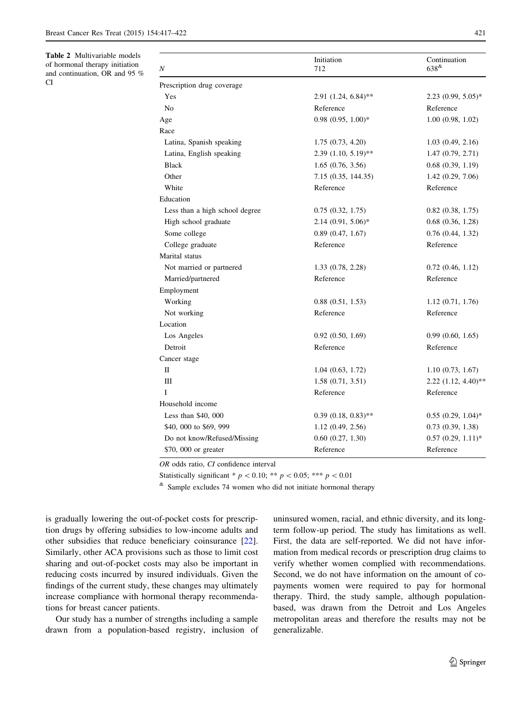<span id="page-4-0"></span>Table 2 Multivariable models of hormonal therapy initiation and continuation, OR and 95 % CI

| Ν                              | Initiation<br>712       | Continuation<br>$638^{8}$ |
|--------------------------------|-------------------------|---------------------------|
| Prescription drug coverage     |                         |                           |
| Yes                            | $2.91$ (1.24, 6.84)**   | $2.23$ (0.99, 5.05)*      |
| No                             | Reference               | Reference                 |
| Age                            | $0.98$ $(0.95, 1.00)$ * | 1.00(0.98, 1.02)          |
| Race                           |                         |                           |
| Latina, Spanish speaking       | 1.75(0.73, 4.20)        | 1.03(0.49, 2.16)          |
| Latina, English speaking       | $2.39$ (1.10, 5.19)**   | 1.47(0.79, 2.71)          |
| <b>Black</b>                   | 1.65(0.76, 3.56)        | 0.68(0.39, 1.19)          |
| Other                          | 7.15 (0.35, 144.35)     | 1.42(0.29, 7.06)          |
| White                          | Reference               | Reference                 |
| Education                      |                         |                           |
| Less than a high school degree | $0.75$ $(0.32, 1.75)$   | 0.82(0.38, 1.75)          |
| High school graduate           | $2.14(0.91, 5.06)^*$    | $0.68$ $(0.36, 1.28)$     |
| Some college                   | 0.89(0.47, 1.67)        | 0.76(0.44, 1.32)          |
| College graduate               | Reference               | Reference                 |
| Marital status                 |                         |                           |
| Not married or partnered       | 1.33(0.78, 2.28)        | 0.72(0.46, 1.12)          |
| Married/partnered              | Reference               | Reference                 |
| Employment                     |                         |                           |
| Working                        | 0.88(0.51, 1.53)        | 1.12(0.71, 1.76)          |
| Not working                    | Reference               | Reference                 |
| Location                       |                         |                           |
| Los Angeles                    | 0.92(0.50, 1.69)        | 0.99(0.60, 1.65)          |
| Detroit                        | Reference               | Reference                 |
| Cancer stage                   |                         |                           |
| П                              | 1.04(0.63, 1.72)        | 1.10(0.73, 1.67)          |
| Ш                              | 1.58(0.71, 3.51)        | $2.22$ $(1.12, 4.40)$ **  |
| I                              | Reference               | Reference                 |
| Household income               |                         |                           |
| Less than $$40,000$            | $0.39(0.18, 0.83)$ **   | $0.55(0.29, 1.04)^*$      |
| \$40,000 to \$69,999           | 1.12(0.49, 2.56)        | 0.73(0.39, 1.38)          |
| Do not know/Refused/Missing    | 0.60(0.27, 1.30)        | $0.57(0.29, 1.11)*$       |
| \$70,000 or greater            | Reference               | Reference                 |

OR odds ratio, CI confidence interval

Statistically significant \*  $p < 0.10$ ; \*\*  $p < 0.05$ ; \*\*\*  $p < 0.01$ 

 $\&$  Sample excludes 74 women who did not initiate hormonal therapy

is gradually lowering the out-of-pocket costs for prescription drugs by offering subsidies to low-income adults and other subsidies that reduce beneficiary coinsurance [\[22](#page-5-0)]. Similarly, other ACA provisions such as those to limit cost sharing and out-of-pocket costs may also be important in reducing costs incurred by insured individuals. Given the findings of the current study, these changes may ultimately increase compliance with hormonal therapy recommendations for breast cancer patients.

Our study has a number of strengths including a sample drawn from a population-based registry, inclusion of uninsured women, racial, and ethnic diversity, and its longterm follow-up period. The study has limitations as well. First, the data are self-reported. We did not have information from medical records or prescription drug claims to verify whether women complied with recommendations. Second, we do not have information on the amount of copayments women were required to pay for hormonal therapy. Third, the study sample, although populationbased, was drawn from the Detroit and Los Angeles metropolitan areas and therefore the results may not be generalizable.